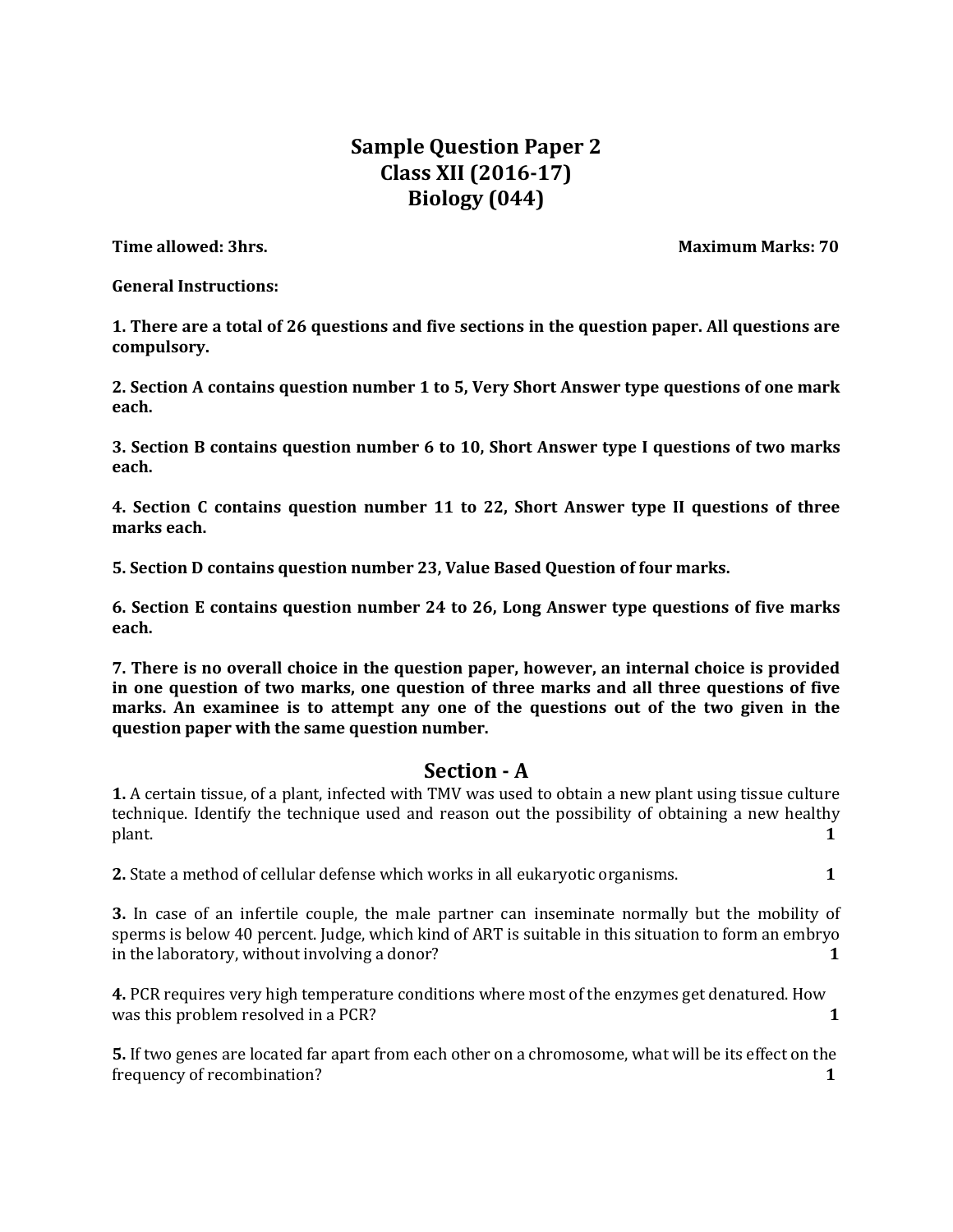# **Sample Question Paper 2 Class XII (2016-17) Biology (044)**

**Time allowed: 3hrs.** Maximum Marks: 70

**General Instructions:** 

**1. There are a total of 26 questions and five sections in the question paper. All questions are compulsory.**

**2. Section A contains question number 1 to 5, Very Short Answer type questions of one mark each.** 

**3. Section B contains question number 6 to 10, Short Answer type I questions of two marks each.** 

**4. Section C contains question number 11 to 22, Short Answer type II questions of three marks each.**

**5. Section D contains question number 23, Value Based Question of four marks.** 

**6. Section E contains question number 24 to 26, Long Answer type questions of five marks each.** 

**7. There is no overall choice in the question paper, however, an internal choice is provided in one question of two marks, one question of three marks and all three questions of five marks. An examinee is to attempt any one of the questions out of the two given in the question paper with the same question number.** 

## **Section - A**

**1.** A certain tissue, of a plant, infected with TMV was used to obtain a new plant using tissue culture technique. Identify the technique used and reason out the possibility of obtaining a new healthy plant. **1** 

**2.** State a method of cellular defense which works in all eukaryotic organisms. **1** 

**3.** In case of an infertile couple, the male partner can inseminate normally but the mobility of sperms is below 40 percent. Judge, which kind of ART is suitable in this situation to form an embryo in the laboratory, without involving a donor? **1** 

**4.** PCR requires very high temperature conditions where most of the enzymes get denatured. How was this problem resolved in a PCR? **1** 

**5.** If two genes are located far apart from each other on a chromosome, what will be its effect on the frequency of recombination? **1**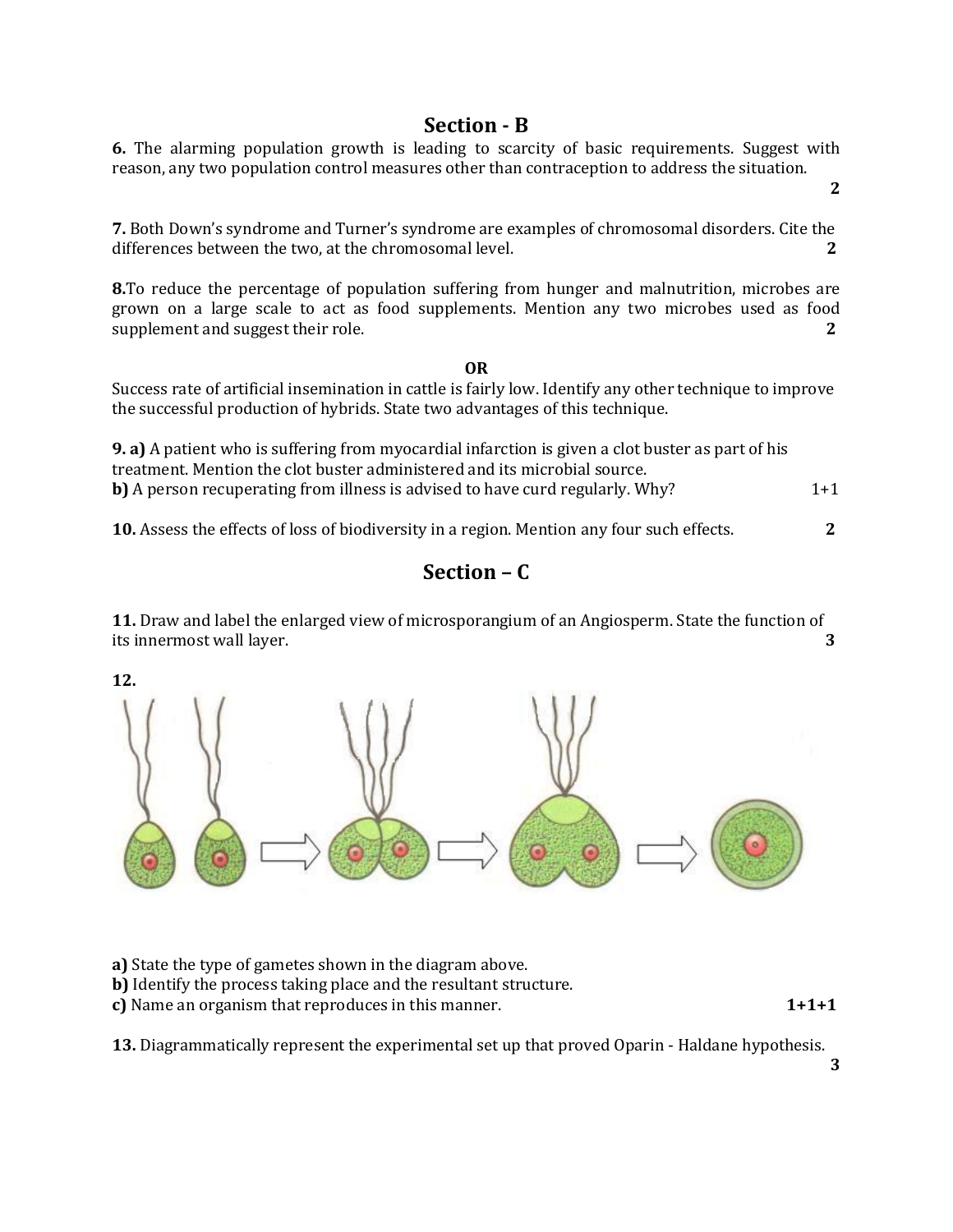## **Section - B**

**6.** The alarming population growth is leading to scarcity of basic requirements. Suggest with reason, any two population control measures other than contraception to address the situation.

**7.** Both Down's syndrome and Turner's syndrome are examples of chromosomal disorders. Cite the differences between the two, at the chromosomal level. **2** 

**8.**To reduce the percentage of population suffering from hunger and malnutrition, microbes are grown on a large scale to act as food supplements. Mention any two microbes used as food supplement and suggest their role. **2** 

#### **OR**

Success rate of artificial insemination in cattle is fairly low. Identify any other technique to improve the successful production of hybrids. State two advantages of this technique.

**9. a)** A patient who is suffering from myocardial infarction is given a clot buster as part of his treatment. Mention the clot buster administered and its microbial source. **b)** A person recuperating from illness is advised to have curd regularly. Why? 1+1

**10.** Assess the effects of loss of biodiversity in a region. Mention any four such effects. **2**

# **Section – C**

**11.** Draw and label the enlarged view of microsporangium of an Angiosperm. State the function of its innermost wall layer. **3**

**12.** 



**a)** State the type of gametes shown in the diagram above.

**b)** Identify the process taking place and the resultant structure.

**c)** Name an organism that reproduces in this manner. **1+1+1** 

**13.** Diagrammatically represent the experimental set up that proved Oparin - Haldane hypothesis.

**2**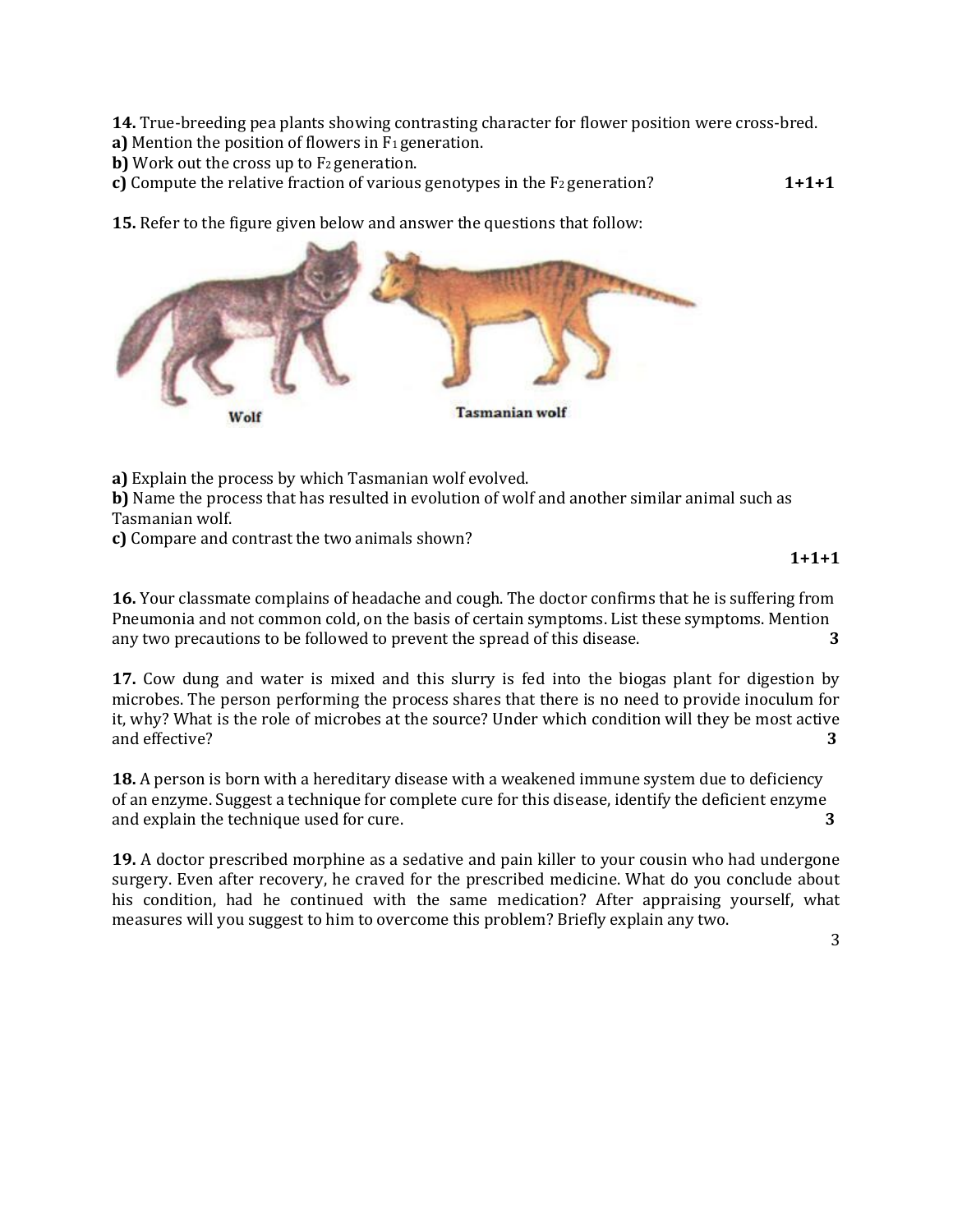**14.** True-breeding pea plants showing contrasting character for flower position were cross-bred.

**a)** Mention the position of flowers in F<sub>1</sub> generation.

**b)** Work out the cross up to F<sub>2</sub> generation.

**c)** Compute the relative fraction of various genotypes in the F<sub>2</sub> generation? **1+1+1** 

**15.** Refer to the figure given below and answer the questions that follow:



**a)** Explain the process by which Tasmanian wolf evolved.

**b)** Name the process that has resulted in evolution of wolf and another similar animal such as Tasmanian wolf.

**c)** Compare and contrast the two animals shown?

#### **1+1+1**

**16.** Your classmate complains of headache and cough. The doctor confirms that he is suffering from Pneumonia and not common cold, on the basis of certain symptoms. List these symptoms. Mention any two precautions to be followed to prevent the spread of this disease. **3** 

**17.** Cow dung and water is mixed and this slurry is fed into the biogas plant for digestion by microbes. The person performing the process shares that there is no need to provide inoculum for it, why? What is the role of microbes at the source? Under which condition will they be most active and effective? **3**

**18.** A person is born with a hereditary disease with a weakened immune system due to deficiency of an enzyme. Suggest a technique for complete cure for this disease, identify the deficient enzyme and explain the technique used for cure. **3** 

**19.** A doctor prescribed morphine as a sedative and pain killer to your cousin who had undergone surgery. Even after recovery, he craved for the prescribed medicine. What do you conclude about his condition, had he continued with the same medication? After appraising yourself, what measures will you suggest to him to overcome this problem? Briefly explain any two.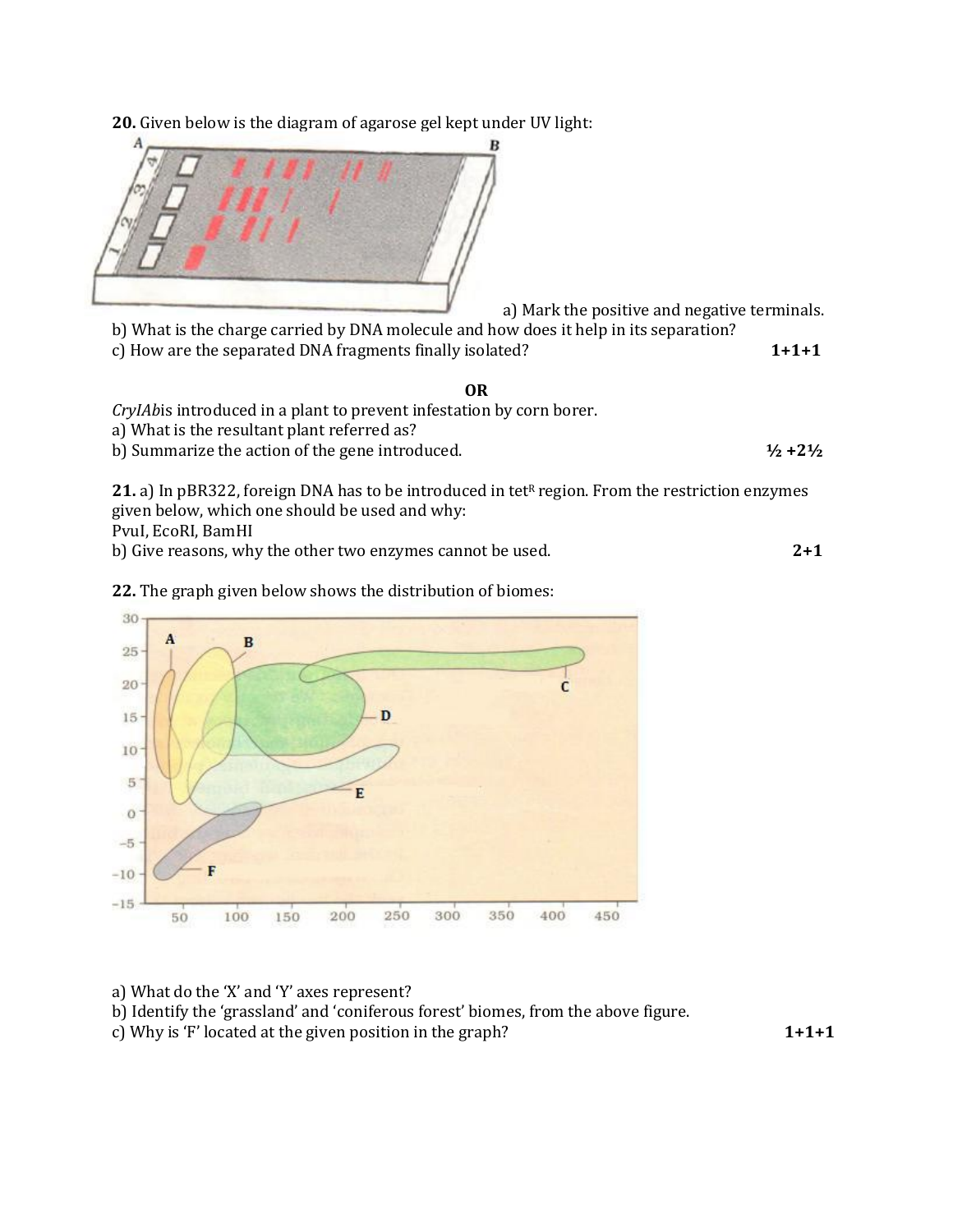**20.** Given below is the diagram of agarose gel kept under UV light:



a) Mark the positive and negative terminals.

b) What is the charge carried by DNA molecule and how does it help in its separation? c) How are the separated DNA fragments finally isolated? **1+1+1** 

#### **OR**

*CryIAb*is introduced in a plant to prevent infestation by corn borer.

a) What is the resultant plant referred as?

b) Summarize the action of the gene introduced. **½ +2½** 

21. a) In pBR322, foreign DNA has to be introduced in tet<sup>R</sup> region. From the restriction enzymes given below, which one should be used and why:

PvuI, EcoRI, BamHI

b) Give reasons, why the other two enzymes cannot be used. **2+1** 





a) What do the 'X' and 'Y' axes represent?

b) Identify the 'grassland' and 'coniferous forest' biomes, from the above figure.

c) Why is 'F' located at the given position in the graph? **1+1+1**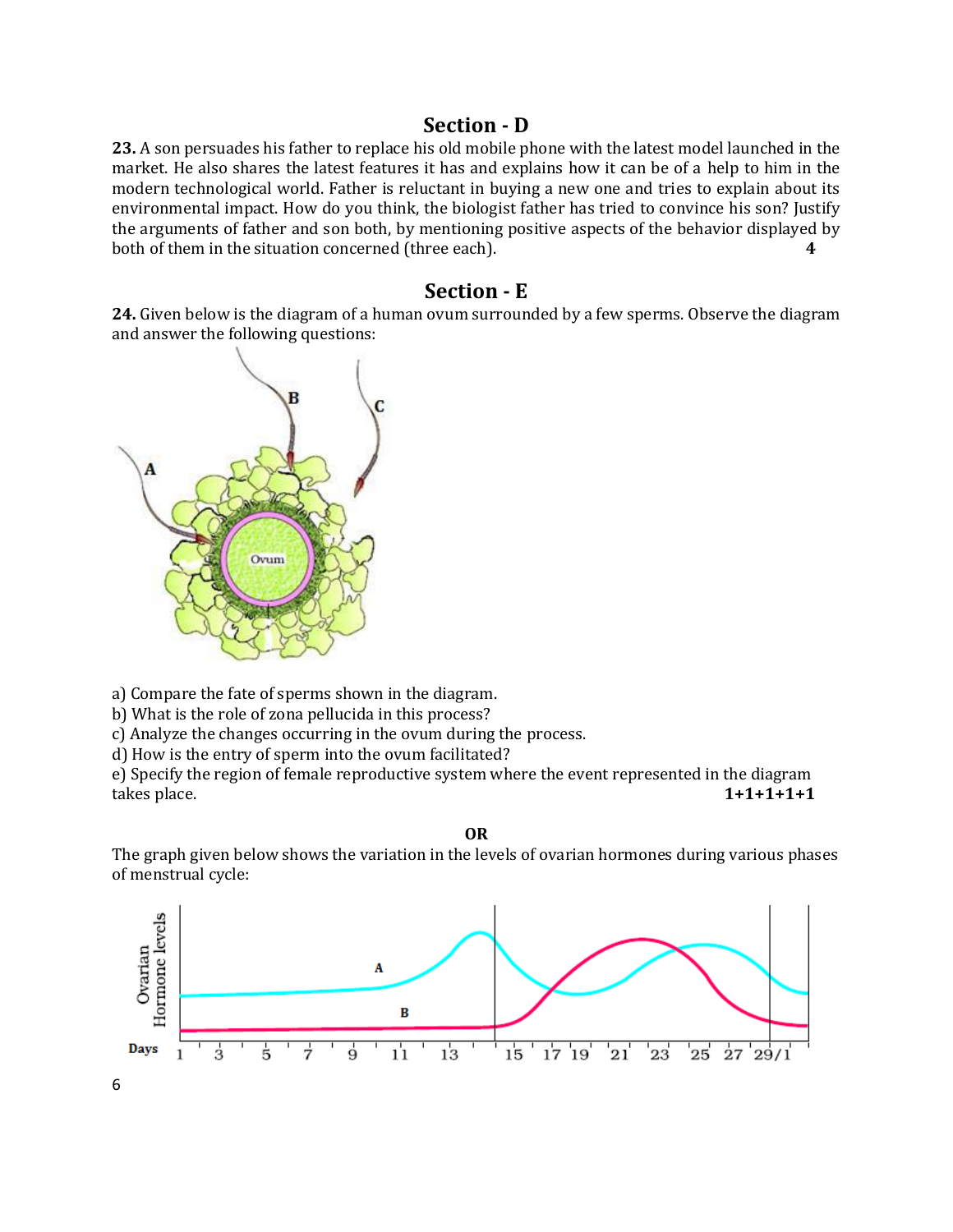## **Section - D**

**23.** A son persuades his father to replace his old mobile phone with the latest model launched in the market. He also shares the latest features it has and explains how it can be of a help to him in the modern technological world. Father is reluctant in buying a new one and tries to explain about its environmental impact. How do you think, the biologist father has tried to convince his son? Justify the arguments of father and son both, by mentioning positive aspects of the behavior displayed by both of them in the situation concerned (three each). **4** 

### **Section - E**

**24.** Given below is the diagram of a human ovum surrounded by a few sperms. Observe the diagram and answer the following questions:



a) Compare the fate of sperms shown in the diagram.

b) What is the role of zona pellucida in this process?

c) Analyze the changes occurring in the ovum during the process.

d) How is the entry of sperm into the ovum facilitated?

e) Specify the region of female reproductive system where the event represented in the diagram takes place. **1+1+1+1+1**

**OR**

The graph given below shows the variation in the levels of ovarian hormones during various phases of menstrual cycle:

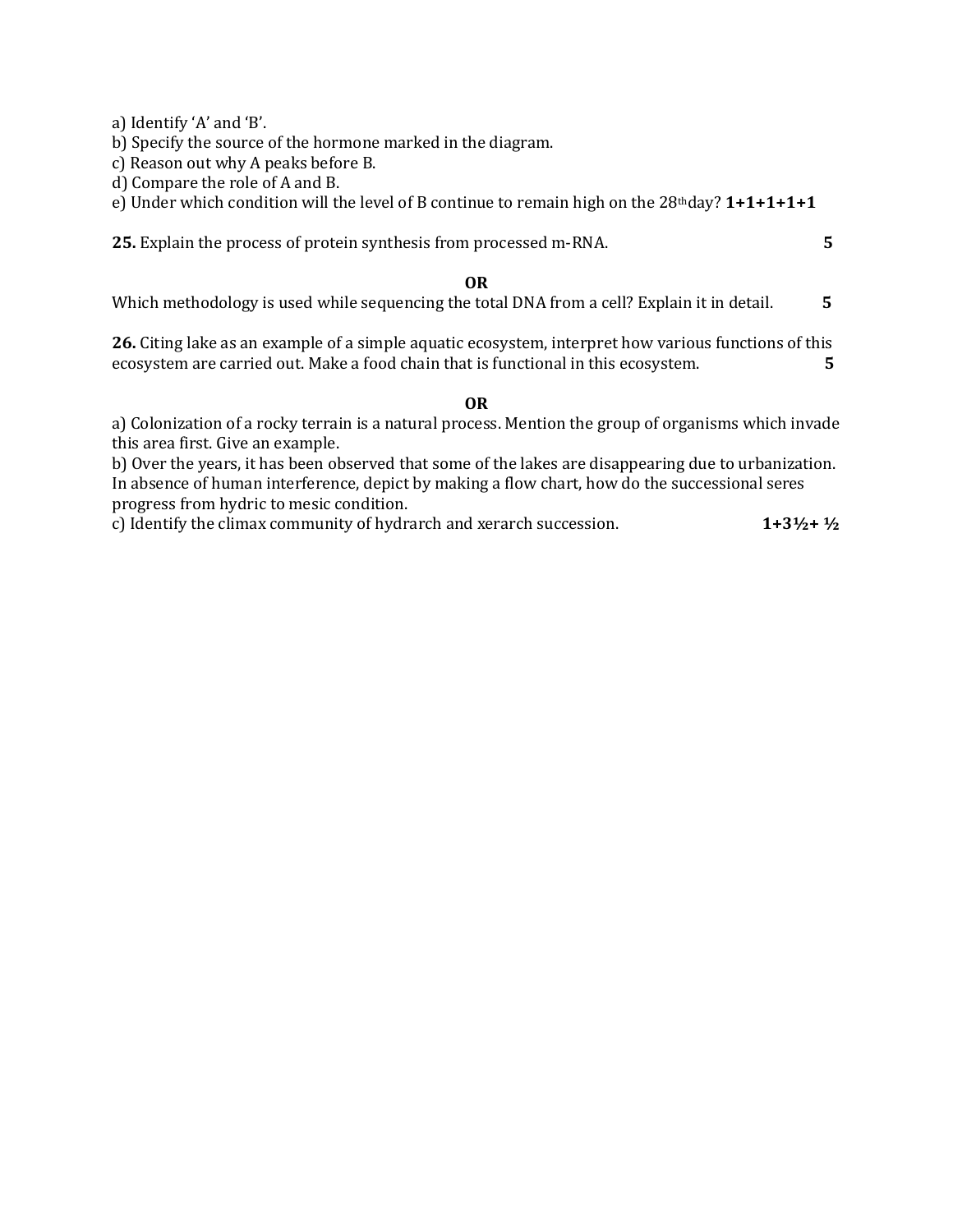a) Identify 'A' and 'B'.

b) Specify the source of the hormone marked in the diagram.

c) Reason out why A peaks before B.

d) Compare the role of A and B.

e) Under which condition will the level of B continue to remain high on the 28thday? **1+1+1+1+1** 

**25.** Explain the process of protein synthesis from processed m-RNA. **5** 

#### **OR**

Which methodology is used while sequencing the total DNA from a cell? Explain it in detail. **5** 

**26.** Citing lake as an example of a simple aquatic ecosystem, interpret how various functions of this ecosystem are carried out. Make a food chain that is functional in this ecosystem. **5** 

### **OR**

a) Colonization of a rocky terrain is a natural process. Mention the group of organisms which invade this area first. Give an example.

b) Over the years, it has been observed that some of the lakes are disappearing due to urbanization. In absence of human interference, depict by making a flow chart, how do the successional seres progress from hydric to mesic condition.

c) Identify the climax community of hydrarch and xerarch succession. **1+3½+ ½**